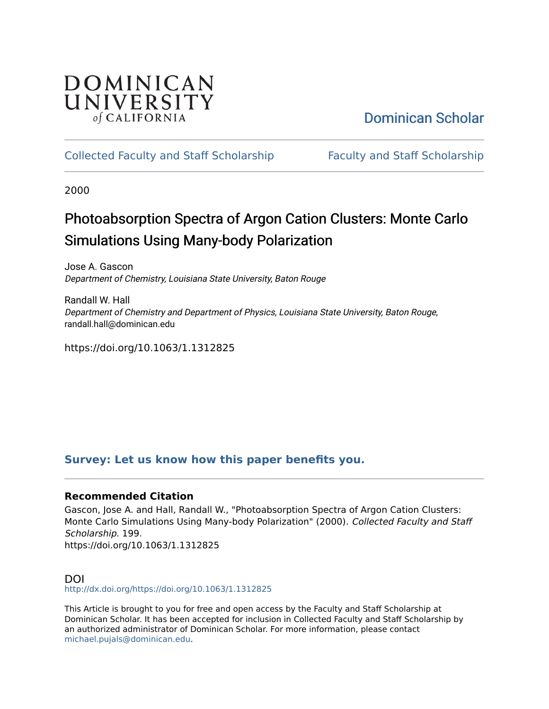## DOMINICAN UNIVERSITY of CALIFORNIA

# [Dominican Scholar](https://scholar.dominican.edu/)

## [Collected Faculty and Staff Scholarship](https://scholar.dominican.edu/all-faculty) [Faculty and Staff Scholarship](https://scholar.dominican.edu/faculty-scholarship)

2000

# Photoabsorption Spectra of Argon Cation Clusters: Monte Carlo Simulations Using Many-body Polarization

Jose A. Gascon Department of Chemistry, Louisiana State University, Baton Rouge

Randall W. Hall Department of Chemistry and Department of Physics, Louisiana State University, Baton Rouge, randall.hall@dominican.edu

https://doi.org/10.1063/1.1312825

## **[Survey: Let us know how this paper benefits you.](https://dominican.libwizard.com/dominican-scholar-feedback)**

## **Recommended Citation**

Gascon, Jose A. and Hall, Randall W., "Photoabsorption Spectra of Argon Cation Clusters: Monte Carlo Simulations Using Many-body Polarization" (2000). Collected Faculty and Staff Scholarship. 199. https://doi.org/10.1063/1.1312825

## DOI

<http://dx.doi.org/https://doi.org/10.1063/1.1312825>

This Article is brought to you for free and open access by the Faculty and Staff Scholarship at Dominican Scholar. It has been accepted for inclusion in Collected Faculty and Staff Scholarship by an authorized administrator of Dominican Scholar. For more information, please contact [michael.pujals@dominican.edu.](mailto:michael.pujals@dominican.edu)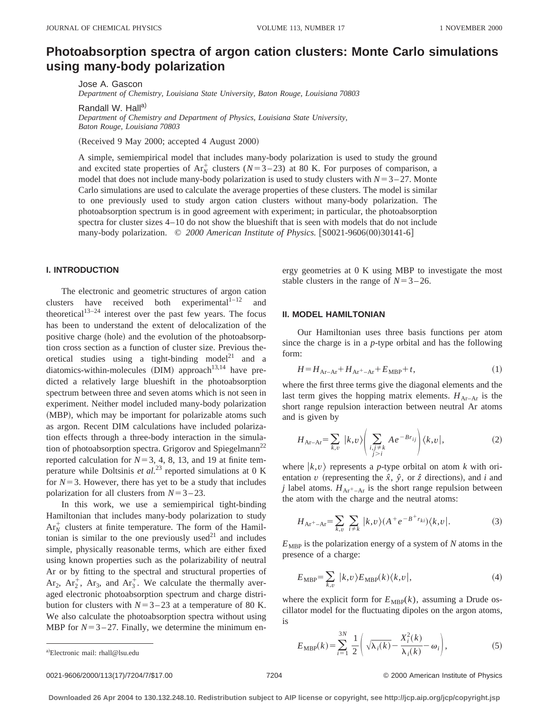## **Photoabsorption spectra of argon cation clusters: Monte Carlo simulations using many-body polarization**

Jose A. Gascon

*Department of Chemistry, Louisiana State University, Baton Rouge, Louisiana 70803*

Randall W. Hall<sup>a)</sup>

*Department of Chemistry and Department of Physics, Louisiana State University, Baton Rouge, Louisiana 70803*

(Received 9 May 2000; accepted 4 August 2000)

A simple, semiempirical model that includes many-body polarization is used to study the ground and excited state properties of  $Ar_N^+$  clusters ( $N=3-23$ ) at 80 K. For purposes of comparison, a model that does not include many-body polarization is used to study clusters with  $N=3-27$ . Monte Carlo simulations are used to calculate the average properties of these clusters. The model is similar to one previously used to study argon cation clusters without many-body polarization. The photoabsorption spectrum is in good agreement with experiment; in particular, the photoabsorption spectra for cluster sizes 4–10 do not show the blueshift that is seen with models that do not include many-body polarization.  $\degree$  2000 American Institute of Physics. [S0021-9606(00)30141-6]

#### **I. INTRODUCTION**

The electronic and geometric structures of argon cation clusters have received both experimental $1^{1-12}$ theoretical<sup>13–24</sup> interest over the past few years. The focus has been to understand the extent of delocalization of the positive charge (hole) and the evolution of the photoabsorption cross section as a function of cluster size. Previous theoretical studies using a tight-binding model<sup>21</sup> and a diatomics-within-molecules (DIM) approach<sup>13,14</sup> have predicted a relatively large blueshift in the photoabsorption spectrum between three and seven atoms which is not seen in experiment. Neither model included many-body polarization (MBP), which may be important for polarizable atoms such as argon. Recent DIM calculations have included polarization effects through a three-body interaction in the simulation of photoabsorption spectra. Grigorov and Spiegelmann<sup>22</sup> reported calculation for  $N=3, 4, 8, 13$ , and 19 at finite temperature while Doltsinis *et al.*<sup>23</sup> reported simulations at 0 K for  $N=3$ . However, there has yet to be a study that includes polarization for all clusters from  $N=3-23$ .

In this work, we use a semiempirical tight-binding Hamiltonian that includes many-body polarization to study  $Ar_N^+$  clusters at finite temperature. The form of the Hamiltonian is similar to the one previously used $^{21}$  and includes simple, physically reasonable terms, which are either fixed using known properties such as the polarizability of neutral Ar or by fitting to the spectral and structural properties of  $Ar_2$ ,  $Ar_2^+$ ,  $Ar_3$ , and  $Ar_3^+$ . We calculate the thermally averaged electronic photoabsorption spectrum and charge distribution for clusters with  $N=3-23$  at a temperature of 80 K. We also calculate the photoabsorption spectra without using MBP for  $N=3-27$ . Finally, we determine the minimum energy geometries at 0 K using MBP to investigate the most stable clusters in the range of  $N=3-26$ .

#### **II. MODEL HAMILTONIAN**

Our Hamiltonian uses three basis functions per atom since the charge is in a *p*-type orbital and has the following form:

$$
H = HAr-Ar + HAr+-Ar + EMBP + t,
$$
\n(1)

where the first three terms give the diagonal elements and the last term gives the hopping matrix elements.  $H_{Ar-Ar}$  is the short range repulsion interaction between neutral Ar atoms and is given by

$$
H_{\text{Ar-Ar}} = \sum_{k,v} |k,v\rangle \left( \sum_{\substack{i,j \neq k \\ j>i}} A e^{-Br_{ij}} \right) \langle k,v |,
$$
 (2)

where  $|k, v\rangle$  represents a *p*-type orbital on atom *k* with orientation *v* (representing the  $\hat{x}$ ,  $\hat{y}$ , or  $\hat{z}$  directions), and *i* and *j* label atoms.  $H_{\text{Ar}^+ - \text{Ar}}$  is the short range repulsion between the atom with the charge and the neutral atoms:

$$
H_{\text{Ar}^+ - \text{Ar}^-} = \sum_{k,v} \sum_{i \neq k} |k,v\rangle (A^+ e^{-B^+ r_{ki}}) \langle k,v|.
$$
 (3)

 $E<sub>MBP</sub>$  is the polarization energy of a system of  $N$  atoms in the presence of a charge:

$$
E_{\text{MBP}} = \sum_{k,v} |k,v\rangle E_{\text{MBP}}(k)\langle k,v|,\tag{4}
$$

where the explicit form for  $E_{MBP}(k)$ , assuming a Drude oscillator model for the fluctuating dipoles on the argon atoms, is

$$
E_{\text{MBP}}(k) = \sum_{i=1}^{3N} \frac{1}{2} \left( \sqrt{\lambda_i(k)} - \frac{X_i^2(k)}{\lambda_i(k)} - \omega_i \right),\tag{5}
$$

0021-9606/2000/113(17)/7204/7/\$17.00 © 2000 American Institute of Physics 7204

Electronic mail: rhall@lsu.edu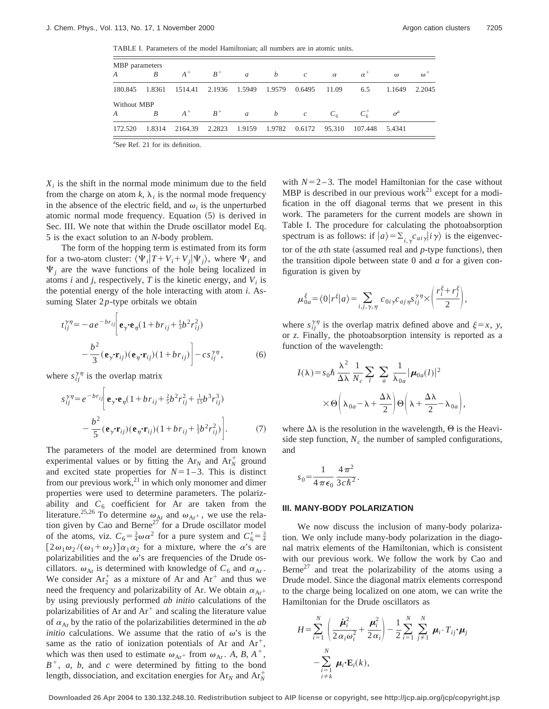TABLE I. Parameters of the model Hamiltonian; all numbers are in atomic units.

| MBP parameters    |                |                              |                   |         |                             |              |            |                  |            |
|-------------------|----------------|------------------------------|-------------------|---------|-----------------------------|--------------|------------|------------------|------------|
| $A \qquad \qquad$ | B              | $A^+$ $B^+$                  |                   | $a$ $b$ | $\overline{c}$              | $\alpha$     | $\alpha^+$ | $\omega$         | $\omega^+$ |
| 180.845           | 1.8361         | 1514.41 2.1936 1.5949 1.9579 |                   |         |                             | 0.6495 11.09 | 6.5        | 1.1649           | 2.2045     |
| Without MBP       |                |                              |                   |         |                             |              |            |                  |            |
| $A \quad \alpha$  | $\overline{B}$ |                              | $A^+$ $B^+$ a b c |         |                             | $C_6$        | $C_6^+$    | $\sigma^{\rm a}$ |            |
| 172.520           | 1.8314         | 2164.39 2.2823               |                   |         | 1.9159 1.9782 0.6172 95.310 |              | 107.448    | 5.4341           |            |

a See Ref. 21 for its definition.

 $X_i$  is the shift in the normal mode minimum due to the field from the charge on atom  $k$ ,  $\lambda_i$  is the normal mode frequency in the absence of the electric field, and  $\omega_i$  is the unperturbed atomic normal mode frequency. Equation  $(5)$  is derived in Sec. III. We note that within the Drude oscillator model Eq. 5 is the exact solution to an *N*-body problem.

The form of the hopping term is estimated from its form for a two-atom cluster:  $\langle \Psi_i | T + V_i + V_j | \Psi_i \rangle$ , where  $\Psi_i$  and  $\Psi_i$  are the wave functions of the hole being localized in atoms *i* and *j*, respectively, *T* is the kinetic energy, and  $V_i$  is the potential energy of the hole interacting with atom *i*. Assuming Slater 2*p*-type orbitals we obtain

$$
t_{ij}^{\gamma\eta} = -ae^{-br_{ij}} \bigg| \mathbf{e}_{\gamma} \cdot \mathbf{e}_{\eta} (1 + br_{ij} + \frac{1}{3}b^2 r_{ij}^2) - \frac{b^2}{3} (\mathbf{e}_{\gamma} \cdot \mathbf{r}_{ij}) (\mathbf{e}_{\eta} \cdot \mathbf{r}_{ij}) (1 + br_{ij}) \bigg| - cs_{ij}^{\gamma\eta}, \tag{6}
$$

where  $s_{ij}^{\gamma\eta}$  is the overlap matrix

$$
s_{ij}^{\gamma\eta} = e^{-br_{ij}} \bigg[ \mathbf{e}_{\gamma} \cdot \mathbf{e}_{\eta} (1 + br_{ij} + \frac{2}{5}b^2 r_{ij}^2 + \frac{1}{15}b^3 r_{ij}^3) - \frac{b^2}{5} (\mathbf{e}_{\gamma} \cdot \mathbf{r}_{ij}) (\mathbf{e}_{\eta} \cdot \mathbf{r}_{ij}) (1 + br_{ij} + \frac{1}{3}b^2 r_{ij}^2) \bigg].
$$
 (7)

The parameters of the model are determined from known experimental values or by fitting the  $Ar_N$  and  $Ar_N^+$  ground and excited state properties for  $N=1-3$ . This is distinct from our previous work, $^{21}$  in which only monomer and dimer properties were used to determine parameters. The polarizability and  $C_6$  coefficient for Ar are taken from the literature.<sup>25,26</sup> To determine  $\omega_{Ar}$  and  $\omega_{Ar}$ , we use the relation given by Cao and Berne<sup>27</sup> for a Drude oscillator model of the atoms, viz.  $C_6 = \frac{3}{4}\omega \alpha^2$  for a pure system and  $C'_6 = \frac{3}{4}$  $[2\omega_1\omega_2/(\omega_1+\omega_2)]\alpha_1\alpha_2$  for a mixture, where the  $\alpha$ 's are polarizabilities and the  $\omega$ 's are frequencies of the Drude oscillators.  $\omega_{Ar}$  is determined with knowledge of  $C_6$  and  $\alpha_{Ar}$ . We consider  $Ar_2^+$  as a mixture of Ar and  $Ar^+$  and thus we need the frequency and polarizability of Ar. We obtain  $\alpha_{Ar}$ + by using previously performed *ab initio* calculations of the polarizabilities of Ar and  $Ar^+$  and scaling the literature value of  $\alpha_{\text{Ar}}$  by the ratio of the polarizabilities determined in the *ab initio* calculations. We assume that the ratio of  $\omega$ 's is the same as the ratio of ionization potentials of Ar and  $Ar^+$ , which was then used to estimate  $\omega_{Ar}$  from  $\omega_{Ar}$ . *A*, *B*, *A*<sup>+</sup>,  $B^+$ , *a*, *b*, and *c* were determined by fitting to the bond length, dissociation, and excitation energies for  $Ar_N$  and  $Ar_N^+$ 

with  $N=2-3$ . The model Hamiltonian for the case without MBP is described in our previous work<sup>21</sup> except for a modification in the off diagonal terms that we present in this work. The parameters for the current models are shown in Table I. The procedure for calculating the photoabsorption spectrum is as follows: if  $|a\rangle = \sum_{i,\gamma} c_{ai\gamma} |i\gamma\rangle$  is the eigenvector of the  $a$ th state (assumed real and  $p$ -type functions), then the transition dipole between state 0 and *a* for a given configuration is given by

$$
\mu_{0a}^{\xi} = \langle 0 | r^{\xi} | a \rangle = \sum_{i,j,\gamma,\eta} c_{0i\gamma} c_{aj\eta} s_{ij}^{\gamma\eta} \times \left( \frac{r_i^{\xi} + r_j^{\xi}}{2} \right),
$$

where  $s_{ij}^{\gamma\eta}$  is the overlap matrix defined above and  $\xi = x$ , *y*, or *z*. Finally, the photoabsorption intensity is reported as a function of the wavelength:

$$
I(\lambda) = s_0 \hbar \frac{\lambda^2}{\Delta \lambda} \frac{1}{N_c} \sum_l \sum_a \frac{1}{\lambda_{0a}} |\mu_{0a}(l)|^2
$$
  
 
$$
\times \Theta\left(\lambda_{0a} - \lambda + \frac{\Delta \lambda}{2}\right) \Theta\left(\lambda + \frac{\Delta \lambda}{2} - \lambda_{0a}\right),
$$

where  $\Delta\lambda$  is the resolution in the wavelength,  $\Theta$  is the Heaviside step function,  $N_c$  the number of sampled configurations, and

$$
s_0 = \frac{1}{4\pi\epsilon_0} \frac{4\pi^2}{3c\hbar^2}.
$$

#### **III. MANY-BODY POLARIZATION**

We now discuss the inclusion of many-body polarization. We only include many-body polarization in the diagonal matrix elements of the Hamiltonian, which is consistent with our previous work. We follow the work by Cao and Berne<sup>27</sup> and treat the polarizability of the atoms using a Drude model. Since the diagonal matrix elements correspond to the charge being localized on one atom, we can write the Hamiltonian for the Drude oscillators as

$$
H = \sum_{i=1}^{N} \left( \frac{\dot{\boldsymbol{\mu}}_i^2}{2 \alpha_i \omega_i^2} + \frac{\boldsymbol{\mu}_i^2}{2 \alpha_i} \right) - \frac{1}{2} \sum_{i=1}^{N} \sum_{j \neq 1}^{N} \boldsymbol{\mu}_i \cdot T_{ij} \cdot \boldsymbol{\mu}_j
$$

$$
- \sum_{\substack{i=1 \ i \neq k}}^{N} \boldsymbol{\mu}_i \cdot \mathbf{E}_i(k),
$$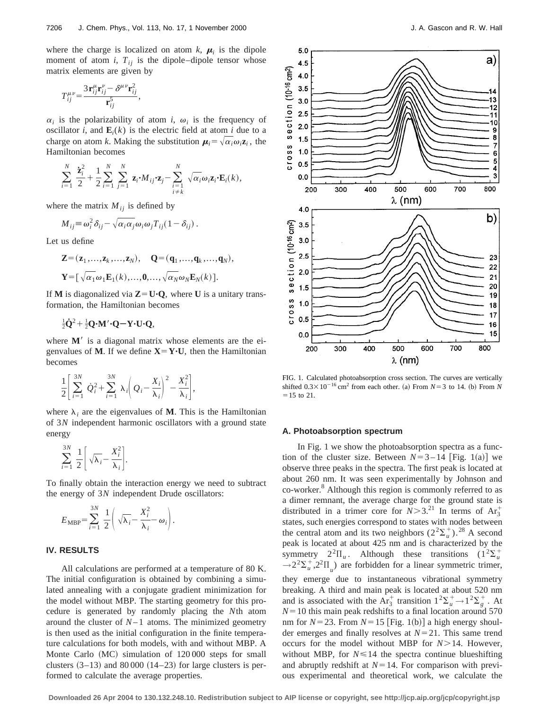where the charge is localized on atom  $k$ ,  $\mu_i$  is the dipole moment of atom  $i$ ,  $T_{ij}$  is the dipole–dipole tensor whose matrix elements are given by

$$
T_{ij}^{\mu\nu} = \frac{3\,\mathbf{r}_{ij}^{\mu}\mathbf{r}_{ij}^{\nu} - \delta^{\mu\nu}\mathbf{r}_{ij}^{2}}{\mathbf{r}_{ij}^{5}},
$$

 $\alpha_i$  is the polarizability of atom *i*,  $\omega_i$  is the frequency of oscillator *i*, and  $\mathbf{E}_i(k)$  is the electric field at atom *i* due to a charge on atom *k*. Making the substitution  $\mu_i = \sqrt{\alpha_i \omega_i z_i}$ , the Hamiltonian becomes

$$
\sum_{i=1}^N \frac{\dot{\mathbf{z}}_i^2}{2} + \frac{1}{2} \sum_{i=1}^N \sum_{j=1}^N \mathbf{z}_i \cdot M_{ij} \cdot \mathbf{z}_j - \sum_{\substack{i=1 \ i \neq k}}^N \sqrt{\alpha_i} \omega_i \mathbf{z}_i \cdot \mathbf{E}_i(k),
$$

where the matrix  $M_{ij}$  is defined by

$$
M_{ij} \equiv \omega_i^2 \delta_{ij} - \sqrt{\alpha_i \alpha_j} \omega_i \omega_j T_{ij} (1 - \delta_{ij}).
$$

Let us define

$$
\mathbf{Z} = (\mathbf{z}_1, \dots, \mathbf{z}_k, \dots, \mathbf{z}_N), \quad \mathbf{Q} = (\mathbf{q}_1, \dots, \mathbf{q}_k, \dots, \mathbf{q}_N),
$$
  

$$
\mathbf{Y} = [\sqrt{\alpha_1} \omega_1 \mathbf{E}_1(k), \dots, \mathbf{0}, \dots, \sqrt{\alpha_N} \omega_N \mathbf{E}_N(k)].
$$

If **M** is diagonalized via  $\mathbf{Z} = \mathbf{U} \cdot \mathbf{Q}$ , where **U** is a unitary transformation, the Hamiltonian becomes

$$
\frac{1}{2}\dot{Q}^2 + \frac{1}{2}Q \cdot M' \cdot Q - Y \cdot U \cdot Q,
$$

where  $M'$  is a diagonal matrix whose elements are the eigenvalues of **M**. If we define  $X = Y \cdot U$ , then the Hamiltonian becomes

$$
\frac{1}{2}\left[\sum_{i=1}^{3N}\dot{Q}_i^2+\sum_{i=1}^{3N}\lambda_i\left(Q_i-\frac{X_i}{\lambda_i}\right)^2-\frac{X_i^2}{\lambda_i}\right],
$$

where  $\lambda_i$  are the eigenvalues of **M**. This is the Hamiltonian of 3*N* independent harmonic oscillators with a ground state energy

$$
\sum_{i=1}^{3N} \frac{1}{2} \left[ \sqrt{\lambda_i} - \frac{X_i^2}{\lambda_i} \right].
$$

To finally obtain the interaction energy we need to subtract the energy of 3*N* independent Drude oscillators:

$$
E_{\text{MBP}} = \sum_{i=1}^{3N} \frac{1}{2} \left( \sqrt{\lambda_i} - \frac{X_i^2}{\lambda_i} - \omega_i \right).
$$

#### **IV. RESULTS**

All calculations are performed at a temperature of 80 K. The initial configuration is obtained by combining a simulated annealing with a conjugate gradient minimization for the model without MBP. The starting geometry for this procedure is generated by randomly placing the *N*th atom around the cluster of  $N-1$  atoms. The minimized geometry is then used as the initial configuration in the finite temperature calculations for both models, with and without MBP. A Monte Carlo (MC) simulation of 120 000 steps for small clusters  $(3-13)$  and 80 000  $(14-23)$  for large clusters is performed to calculate the average properties.



FIG. 1. Calculated photoabsorption cross section. The curves are vertically shifted  $0.3 \times 10^{-16}$  cm<sup>2</sup> from each other. (a) From *N*=3 to 14. (b) From *N*  $= 15$  to 21.

#### **A. Photoabsorption spectrum**

In Fig. 1 we show the photoabsorption spectra as a function of the cluster size. Between  $N=3-14$  [Fig. 1(a)] we observe three peaks in the spectra. The first peak is located at about 260 nm. It was seen experimentally by Johnson and co-worker.<sup>8</sup> Although this region is commonly referred to as a dimer remnant, the average charge for the ground state is distributed in a trimer core for  $N > 3$ .<sup>21</sup> In terms of  $Ar_3^+$ states, such energies correspond to states with nodes between the central atom and its two neighbors  $(2^2\Sigma_u^+)^2$ .<sup>28</sup> A second peak is located at about 425 nm and is characterized by the symmetry  $2^2\Pi_u$ . Although these transitions  $(1^2\Sigma_u^+)$  $\rightarrow 2^2\Sigma_u^+$ ,  $2^2\Pi_u$ ) are forbidden for a linear symmetric trimer, they emerge due to instantaneous vibrational symmetry breaking. A third and main peak is located at about 520 nm and is associated with the  $Ar_3^+$  transition  $1^2\Sigma_u^+ \rightarrow 1^2\Sigma_g^+$ . At  $N=10$  this main peak redshifts to a final location around 570 nm for  $N=23$ . From  $N=15$  [Fig. 1(b)] a high energy shoulder emerges and finally resolves at  $N=21$ . This same trend occurs for the model without MBP for  $N>14$ . However, without MBP, for  $N \le 14$  the spectra continue blueshifting and abruptly redshift at  $N=14$ . For comparison with previous experimental and theoretical work, we calculate the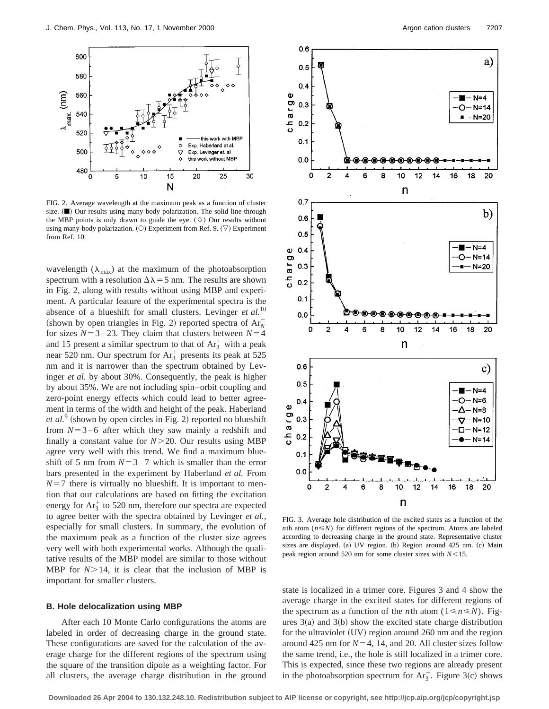

FIG. 2. Average wavelength at the maximum peak as a function of cluster size.  $(\blacksquare)$  Our results using many-body polarization. The solid line through the MBP points is only drawn to guide the eye.  $(\Diamond)$  Our results without using many-body polarization.  $(O)$  Experiment from Ref. 9.  $(\nabla)$  Experiment from Ref. 10.

wavelength ( $\lambda_{\text{max}}$ ) at the maximum of the photoabsorption spectrum with a resolution  $\Delta\lambda$  = 5 nm. The results are shown in Fig. 2, along with results without using MBP and experiment. A particular feature of the experimental spectra is the absence of a blueshift for small clusters. Levinger *et al.*<sup>10</sup> (shown by open triangles in Fig. 2) reported spectra of  $Ar_N^+$ for sizes  $N=3-23$ . They claim that clusters between  $N=4$ and 15 present a similar spectrum to that of  $Ar_3^+$  with a peak near 520 nm. Our spectrum for  $Ar_3^+$  presents its peak at 525 nm and it is narrower than the spectrum obtained by Levinger *et al.* by about 30%. Consequently, the peak is higher by about 35%. We are not including spin–orbit coupling and zero-point energy effects which could lead to better agreement in terms of the width and height of the peak. Haberland *et al.*<sup>9</sup> (shown by open circles in Fig. 2) reported no blueshift from  $N=3-6$  after which they saw mainly a redshift and finally a constant value for  $N>20$ . Our results using MBP agree very well with this trend. We find a maximum blueshift of 5 nm from  $N=3-7$  which is smaller than the error bars presented in the experiment by Haberland *et al.* From  $N=7$  there is virtually no blueshift. It is important to mention that our calculations are based on fitting the excitation energy for  $Ar_3^+$  to 520 nm, therefore our spectra are expected to agree better with the spectra obtained by Levinger *et al.*, especially for small clusters. In summary, the evolution of the maximum peak as a function of the cluster size agrees very well with both experimental works. Although the qualitative results of the MBP model are similar to those without MBP for  $N > 14$ , it is clear that the inclusion of MBP is important for smaller clusters.

#### **B. Hole delocalization using MBP**

After each 10 Monte Carlo configurations the atoms are labeled in order of decreasing charge in the ground state. These configurations are saved for the calculation of the average charge for the different regions of the spectrum using the square of the transition dipole as a weighting factor. For all clusters, the average charge distribution in the ground



FIG. 3. Average hole distribution of the excited states as a function of the *n*th atom ( $n \leq N$ ) for different regions of the spectrum. Atoms are labeled according to decreasing charge in the ground state. Representative cluster sizes are displayed. (a) UV region. (b) Region around 425 nm. (c) Main peak region around 520 nm for some cluster sizes with  $N$  < 15.

state is localized in a trimer core. Figures 3 and 4 show the average charge in the excited states for different regions of the spectrum as a function of the *n*th atom ( $1 \le n \le N$ ). Figures  $3(a)$  and  $3(b)$  show the excited state charge distribution for the ultraviolet  $(UV)$  region around 260 nm and the region around 425 nm for  $N=4$ , 14, and 20. All cluster sizes follow the same trend, i.e., the hole is still localized in a trimer core. This is expected, since these two regions are already present in the photoabsorption spectrum for  $Ar_3^+$ . Figure 3(c) shows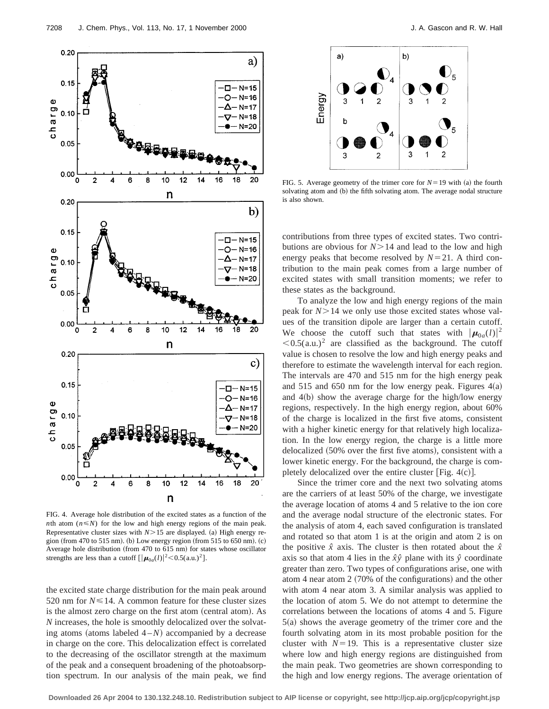

FIG. 4. Average hole distribution of the excited states as a function of the *n*th atom ( $n \leq N$ ) for the low and high energy regions of the main peak. Representative cluster sizes with  $N>15$  are displayed. (a) High energy region (from 470 to 515 nm). (b) Low energy region (from 515 to 650 nm).  $(c)$ Average hole distribution (from 470 to 615 nm) for states whose oscillator strengths are less than a cutoff  $\left[ \left| \mu_{0a}(l) \right|^2 < 0.5$ (a.u.)<sup>2</sup>].

the excited state charge distribution for the main peak around 520 nm for  $N \le 14$ . A common feature for these cluster sizes is the almost zero charge on the first atom (central atom). As *N* increases, the hole is smoothly delocalized over the solvating atoms (atoms labeled  $4 - N$ ) accompanied by a decrease in charge on the core. This delocalization effect is correlated to the decreasing of the oscillator strength at the maximum of the peak and a consequent broadening of the photoabsorption spectrum. In our analysis of the main peak, we find



FIG. 5. Average geometry of the trimer core for  $N=19$  with (a) the fourth solvating atom and (b) the fifth solvating atom. The average nodal structure is also shown.

contributions from three types of excited states. Two contributions are obvious for  $N > 14$  and lead to the low and high energy peaks that become resolved by  $N=21$ . A third contribution to the main peak comes from a large number of excited states with small transition moments; we refer to these states as the background.

To analyze the low and high energy regions of the main peak for  $N > 14$  we only use those excited states whose values of the transition dipole are larger than a certain cutoff. We choose the cutoff such that states with  $|\mu_{0a}(l)|^2$  $< 0.5$ (a.u.)<sup>2</sup> are classified as the background. The cutoff value is chosen to resolve the low and high energy peaks and therefore to estimate the wavelength interval for each region. The intervals are 470 and 515 nm for the high energy peak and 515 and 650 nm for the low energy peak. Figures  $4(a)$ and  $4(b)$  show the average charge for the high/low energy regions, respectively. In the high energy region, about 60% of the charge is localized in the first five atoms, consistent with a higher kinetic energy for that relatively high localization. In the low energy region, the charge is a little more delocalized  $(50\%$  over the first five atoms), consistent with a lower kinetic energy. For the background, the charge is completely delocalized over the entire cluster [Fig.  $4(c)$ ].

Since the trimer core and the next two solvating atoms are the carriers of at least 50% of the charge, we investigate the average location of atoms 4 and 5 relative to the ion core and the average nodal structure of the electronic states. For the analysis of atom 4, each saved configuration is translated and rotated so that atom 1 is at the origin and atom 2 is on the positive  $\hat{x}$  axis. The cluster is then rotated about the  $\hat{x}$ axis so that atom 4 lies in the  $\hat{x}\hat{y}$  plane with its  $\hat{y}$  coordinate greater than zero. Two types of configurations arise, one with atom 4 near atom  $2$  (70% of the configurations) and the other with atom 4 near atom 3. A similar analysis was applied to the location of atom 5. We do not attempt to determine the correlations between the locations of atoms 4 and 5. Figure  $5(a)$  shows the average geometry of the trimer core and the fourth solvating atom in its most probable position for the cluster with  $N=19$ . This is a representative cluster size where low and high energy regions are distinguished from the main peak. Two geometries are shown corresponding to the high and low energy regions. The average orientation of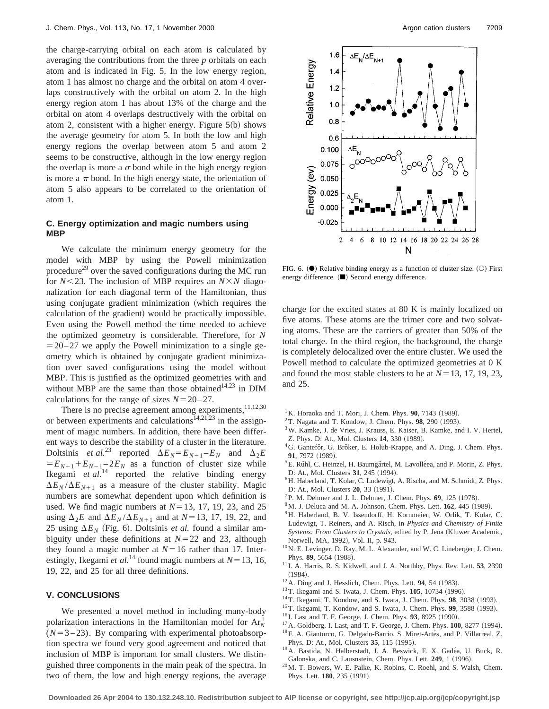the charge-carrying orbital on each atom is calculated by averaging the contributions from the three *p* orbitals on each atom and is indicated in Fig. 5. In the low energy region, atom 1 has almost no charge and the orbital on atom 4 overlaps constructively with the orbital on atom 2. In the high energy region atom 1 has about 13% of the charge and the orbital on atom 4 overlaps destructively with the orbital on atom 2, consistent with a higher energy. Figure  $5(b)$  shows the average geometry for atom 5. In both the low and high energy regions the overlap between atom 5 and atom 2 seems to be constructive, although in the low energy region the overlap is more a  $\sigma$  bond while in the high energy region is more a  $\pi$  bond. In the high energy state, the orientation of atom 5 also appears to be correlated to the orientation of atom 1.

#### **C. Energy optimization and magic numbers using MBP**

We calculate the minimum energy geometry for the model with MBP by using the Powell minimization procedure<sup>29</sup> over the saved configurations during the MC run for  $N$ <23. The inclusion of MBP requires an  $N \times N$  diagonalization for each diagonal term of the Hamiltonian, thus using conjugate gradient minimization (which requires the calculation of the gradient) would be practically impossible. Even using the Powell method the time needed to achieve the optimized geometry is considerable. Therefore, for *N*  $=$  20–27 we apply the Powell minimization to a single geometry which is obtained by conjugate gradient minimization over saved configurations using the model without MBP. This is justified as the optimized geometries with and without MBP are the same than those obtained $14,23$  in DIM calculations for the range of sizes  $N=20-27$ .

There is no precise agreement among experiments, $11,12,30$ or between experiments and calculations<sup>14,21,23</sup> in the assignment of magic numbers. In addition, there have been different ways to describe the stability of a cluster in the literature. Doltsinis *et al.*<sup>23</sup> reported  $\Delta E_N = E_{N-1} - E_N$  and  $\Delta_2 E$  $E_{N+1} + E_{N-1} - 2E_N$  as a function of cluster size while Ikegami *et al.*<sup>14</sup> reported the relative binding energy  $\Delta E_N / \Delta E_{N+1}$  as a measure of the cluster stability. Magic numbers are somewhat dependent upon which definition is used. We find magic numbers at  $N=13$ , 17, 19, 23, and 25 using  $\Delta_2 E$  and  $\Delta E_N / \Delta E_{N+1}$  and at *N*=13, 17, 19, 22, and 25 using  $\Delta E_N$  (Fig. 6). Doltsinis *et al.* found a similar ambiguity under these definitions at  $N=22$  and 23, although they found a magic number at  $N=16$  rather than 17. Interestingly, Ikegami *et al.*<sup>14</sup> found magic numbers at  $N=13, 16$ , 19, 22, and 25 for all three definitions.

#### **V. CONCLUSIONS**

We presented a novel method in including many-body polarization interactions in the Hamiltonian model for  $Ar_N^+$  $(N=3-23)$ . By comparing with experimental photoabsorption spectra we found very good agreement and noticed that inclusion of MBP is important for small clusters. We distinguished three components in the main peak of the spectra. In two of them, the low and high energy regions, the average



FIG. 6.  $(\bullet)$  Relative binding energy as a function of cluster size.  $(\circ)$  First energy difference.  $(\blacksquare)$  Second energy difference.

charge for the excited states at 80 K is mainly localized on five atoms. These atoms are the trimer core and two solvating atoms. These are the carriers of greater than 50% of the total charge. In the third region, the background, the charge is completely delocalized over the entire cluster. We used the Powell method to calculate the optimized geometries at 0 K and found the most stable clusters to be at  $N=13, 17, 19, 23$ , and 25.

- $1$ K. Horaoka and T. Mori, J. Chem. Phys.  $90$ , 7143 (1989).
- <sup>2</sup>T. Nagata and T. Kondow, J. Chem. Phys. **98**, 290 (1993).
- 3W. Kamke, J. de Vries, J. Krauss, E. Kaiser, B. Kamke, and I. V. Hertel, Z. Phys. D: At., Mol. Clusters 14, 330 (1989).
- <sup>4</sup>G. Ganteför, G. Bröker, E. Holub-Krappe, and A. Ding, J. Chem. Phys. 91, 7972 (1989).
- ${}^{5}$ E. Rühl, C. Heinzel, H. Baumgärtel, M. Lavolléea, and P. Morin, Z. Phys. D: At., Mol. Clusters 31, 245 (1994).
- <sup>6</sup>H. Haberland, T. Kolar, C. Ludewigt, A. Rischa, and M. Schmidt, Z. Phys. D: At., Mol. Clusters **20**, 33 (1991).
- ${}^{7}P$ . M. Dehmer and J. L. Dehmer, J. Chem. Phys. **69**, 125 (1978).
- <sup>8</sup>M. J. Deluca and M. A. Johnson, Chem. Phys. Lett. **162**, 445 (1989).
- <sup>9</sup>H. Haberland, B. V. Issendorff, H. Kornmeier, W. Orlik, T. Kolar, C. Ludewigt, T. Reiners, and A. Risch, in *Physics and Chemistry of Finite Systems: From Clusters to Crystals*, edited by P. Jena (Kluwer Academic, Norwell, MA, 1992), Vol. II, p. 943.
- <sup>10</sup>N. E. Levinger, D. Ray, M. L. Alexander, and W. C. Lineberger, J. Chem. Phys. 89, 5654 (1988).
- <sup>11</sup> I. A. Harris, R. S. Kidwell, and J. A. Northby, Phys. Rev. Lett. **53**, 2390  $(1984).$
- $12$  A. Ding and J. Hesslich, Chem. Phys. Lett.  $94$ , 54 (1983).
- <sup>13</sup>T. Ikegami and S. Iwata, J. Chem. Phys. **105**, 10734 (1996).
- <sup>14</sup>T. Ikegami, T. Kondow, and S. Iwata, J. Chem. Phys. 98, 3038 (1993).
- <sup>15</sup>T. Ikegami, T. Kondow, and S. Iwata, J. Chem. Phys. **99**, 3588 (1993).
- <sup>16</sup> I. Last and T. F. George, J. Chem. Phys. **93**, 8925 (1990).
- <sup>17</sup> A. Goldberg, I. Last, and T. F. George, J. Chem. Phys. **100**, 8277 (1994).
- <sup>18</sup> F. A. Gianturco, G. Delgado-Barrio, S. Miret-Artés, and P. Villarreal, Z.
- Phys. D: At., Mol. Clusters 35, 115 (1995). <sup>19</sup> A. Bastida, N. Halberstadt, J. A. Beswick, F. X. Gadéa, U. Buck, R. Galonska, and C. Lausnstein, Chem. Phys. Lett. 249, 1 (1996).
- 20M. T. Bowers, W. E. Palke, K. Robins, C. Roehl, and S. Walsh, Chem. Phys. Lett. **180**, 235 (1991).